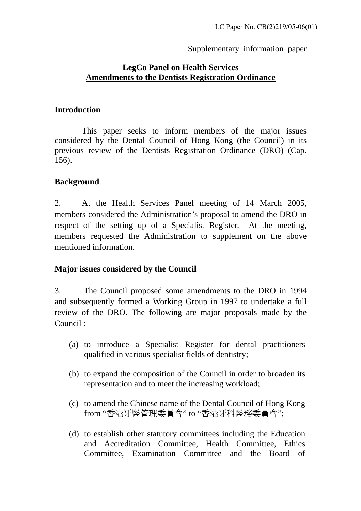### Supplementary information paper

# **LegCo Panel on Health Services Amendments to the Dentists Registration Ordinance**

### **Introduction**

This paper seeks to inform members of the major issues considered by the Dental Council of Hong Kong (the Council) in its previous review of the Dentists Registration Ordinance (DRO) (Cap. 156).

## **Background**

2. At the Health Services Panel meeting of 14 March 2005, members considered the Administration's proposal to amend the DRO in respect of the setting up of a Specialist Register. At the meeting, members requested the Administration to supplement on the above mentioned information.

## **Major issues considered by the Council**

3. The Council proposed some amendments to the DRO in 1994 and subsequently formed a Working Group in 1997 to undertake a full review of the DRO. The following are major proposals made by the Council :

- (a) to introduce a Specialist Register for dental practitioners qualified in various specialist fields of dentistry;
- (b) to expand the composition of the Council in order to broaden its representation and to meet the increasing workload;
- (c) to amend the Chinese name of the Dental Council of Hong Kong from "香港牙醫管理委員會" to "香港牙科醫務委員會";
- (d) to establish other statutory committees including the Education and Accreditation Committee, Health Committee, Ethics Committee, Examination Committee and the Board of